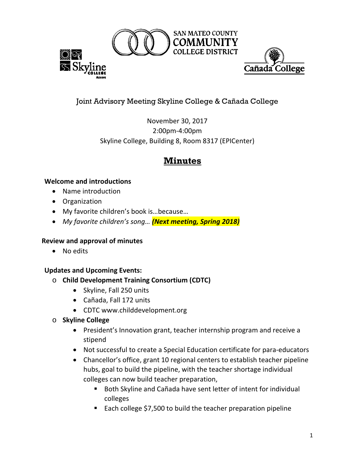

# Joint Advisory Meeting Skyline College & Cañada College

# November 30, 2017 2:00pm-4:00pm Skyline College, Building 8, Room 8317 (EPICenter)

# **Minutes**

#### **Welcome and introductions**

- Name introduction
- Organization
- My favorite children's book is…because…
- *My favorite children's song… (Next meeting, Spring 2018)*

#### **Review and approval of minutes**

• No edits

### **Updates and Upcoming Events:**

- o **Child Development Training Consortium (CDTC)**
	- Skyline, Fall 250 units
	- Cañada, Fall 172 units
	- CDTC www.childdevelopment.org
- o **Skyline College**
	- President's Innovation grant, teacher internship program and receive a stipend
	- Not successful to create a Special Education certificate for para-educators
	- Chancellor's office, grant 10 regional centers to establish teacher pipeline hubs, goal to build the pipeline, with the teacher shortage individual colleges can now build teacher preparation,
		- Both Skyline and Cañada have sent letter of intent for individual colleges
		- Each college \$7,500 to build the teacher preparation pipeline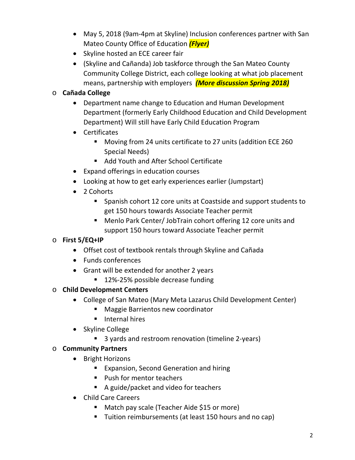- May 5, 2018 (9am-4pm at Skyline) Inclusion conferences partner with San Mateo County Office of Education *(Flyer)*
- Skyline hosted an ECE career fair
- (Skyline and Cañanda) Job taskforce through the San Mateo County Community College District, each college looking at what job placement means, partnership with employers *(More discussion Spring 2018)*

### o **Cañada College**

- Department name change to Education and Human Development Department (formerly Early Childhood Education and Child Development Department) Will still have Early Child Education Program
- Certificates
	- Moving from 24 units certificate to 27 units (addition ECE 260 Special Needs)
	- Add Youth and After School Certificate
- Expand offerings in education courses
- Looking at how to get early experiences earlier (Jumpstart)
- 2 Cohorts
	- **Spanish cohort 12 core units at Coastside and support students to** get 150 hours towards Associate Teacher permit
	- Menlo Park Center/ JobTrain cohort offering 12 core units and support 150 hours toward Associate Teacher permit

## o **First 5/EQ+IP**

- Offset cost of textbook rentals through Skyline and Cañada
- Funds conferences
- Grant will be extended for another 2 years
	- 12%-25% possible decrease funding

## o **Child Development Centers**

- College of San Mateo (Mary Meta Lazarus Child Development Center)
	- **Maggie Barrientos new coordinator**
	- **Internal hires**
- Skyline College
	- 3 yards and restroom renovation (timeline 2-years)

### o **Community Partners**

- Bright Horizons
	- **Expansion, Second Generation and hiring**
	- Push for mentor teachers
	- A guide/packet and video for teachers
- Child Care Careers
	- Match pay scale (Teacher Aide \$15 or more)
	- **Tuition reimbursements (at least 150 hours and no cap)**